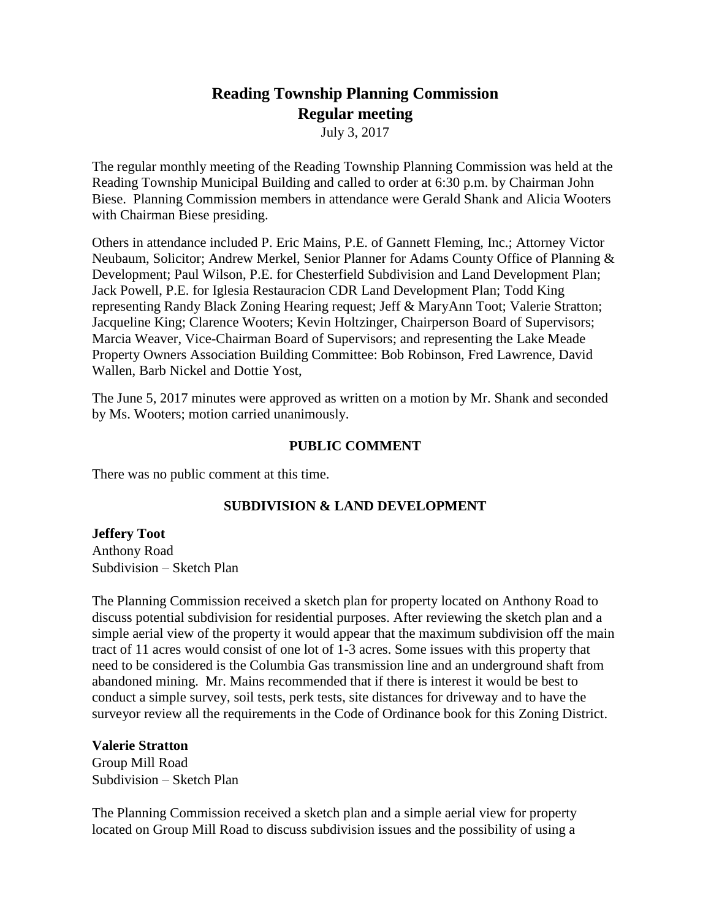# **Reading Township Planning Commission Regular meeting**

July 3, 2017

The regular monthly meeting of the Reading Township Planning Commission was held at the Reading Township Municipal Building and called to order at 6:30 p.m. by Chairman John Biese. Planning Commission members in attendance were Gerald Shank and Alicia Wooters with Chairman Biese presiding.

Others in attendance included P. Eric Mains, P.E. of Gannett Fleming, Inc.; Attorney Victor Neubaum, Solicitor; Andrew Merkel, Senior Planner for Adams County Office of Planning & Development; Paul Wilson, P.E. for Chesterfield Subdivision and Land Development Plan; Jack Powell, P.E. for Iglesia Restauracion CDR Land Development Plan; Todd King representing Randy Black Zoning Hearing request; Jeff & MaryAnn Toot; Valerie Stratton; Jacqueline King; Clarence Wooters; Kevin Holtzinger, Chairperson Board of Supervisors; Marcia Weaver, Vice-Chairman Board of Supervisors; and representing the Lake Meade Property Owners Association Building Committee: Bob Robinson, Fred Lawrence, David Wallen, Barb Nickel and Dottie Yost,

The June 5, 2017 minutes were approved as written on a motion by Mr. Shank and seconded by Ms. Wooters; motion carried unanimously.

# **PUBLIC COMMENT**

There was no public comment at this time.

# **SUBDIVISION & LAND DEVELOPMENT**

**Jeffery Toot** Anthony Road Subdivision – Sketch Plan

The Planning Commission received a sketch plan for property located on Anthony Road to discuss potential subdivision for residential purposes. After reviewing the sketch plan and a simple aerial view of the property it would appear that the maximum subdivision off the main tract of 11 acres would consist of one lot of 1-3 acres. Some issues with this property that need to be considered is the Columbia Gas transmission line and an underground shaft from abandoned mining. Mr. Mains recommended that if there is interest it would be best to conduct a simple survey, soil tests, perk tests, site distances for driveway and to have the surveyor review all the requirements in the Code of Ordinance book for this Zoning District.

# **Valerie Stratton**

Group Mill Road Subdivision – Sketch Plan

The Planning Commission received a sketch plan and a simple aerial view for property located on Group Mill Road to discuss subdivision issues and the possibility of using a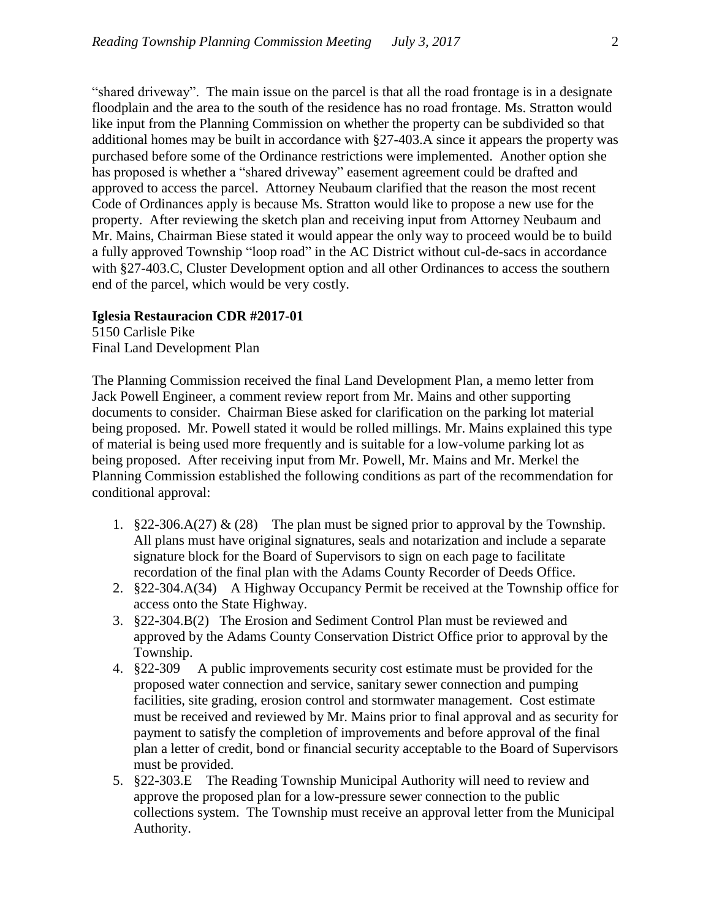"shared driveway". The main issue on the parcel is that all the road frontage is in a designate floodplain and the area to the south of the residence has no road frontage. Ms. Stratton would like input from the Planning Commission on whether the property can be subdivided so that additional homes may be built in accordance with §27-403.A since it appears the property was purchased before some of the Ordinance restrictions were implemented. Another option she has proposed is whether a "shared driveway" easement agreement could be drafted and approved to access the parcel. Attorney Neubaum clarified that the reason the most recent Code of Ordinances apply is because Ms. Stratton would like to propose a new use for the property. After reviewing the sketch plan and receiving input from Attorney Neubaum and Mr. Mains, Chairman Biese stated it would appear the only way to proceed would be to build a fully approved Township "loop road" in the AC District without cul-de-sacs in accordance with §27-403.C, Cluster Development option and all other Ordinances to access the southern end of the parcel, which would be very costly.

## **Iglesia Restauracion CDR #2017-01**

5150 Carlisle Pike Final Land Development Plan

The Planning Commission received the final Land Development Plan, a memo letter from Jack Powell Engineer, a comment review report from Mr. Mains and other supporting documents to consider. Chairman Biese asked for clarification on the parking lot material being proposed. Mr. Powell stated it would be rolled millings. Mr. Mains explained this type of material is being used more frequently and is suitable for a low-volume parking lot as being proposed. After receiving input from Mr. Powell, Mr. Mains and Mr. Merkel the Planning Commission established the following conditions as part of the recommendation for conditional approval:

- 1. §22-306.A(27) & (28) The plan must be signed prior to approval by the Township. All plans must have original signatures, seals and notarization and include a separate signature block for the Board of Supervisors to sign on each page to facilitate recordation of the final plan with the Adams County Recorder of Deeds Office.
- 2. §22-304.A(34) A Highway Occupancy Permit be received at the Township office for access onto the State Highway.
- 3. §22-304.B(2) The Erosion and Sediment Control Plan must be reviewed and approved by the Adams County Conservation District Office prior to approval by the Township.
- 4. §22-309 A public improvements security cost estimate must be provided for the proposed water connection and service, sanitary sewer connection and pumping facilities, site grading, erosion control and stormwater management. Cost estimate must be received and reviewed by Mr. Mains prior to final approval and as security for payment to satisfy the completion of improvements and before approval of the final plan a letter of credit, bond or financial security acceptable to the Board of Supervisors must be provided.
- 5. §22-303.E The Reading Township Municipal Authority will need to review and approve the proposed plan for a low-pressure sewer connection to the public collections system. The Township must receive an approval letter from the Municipal Authority.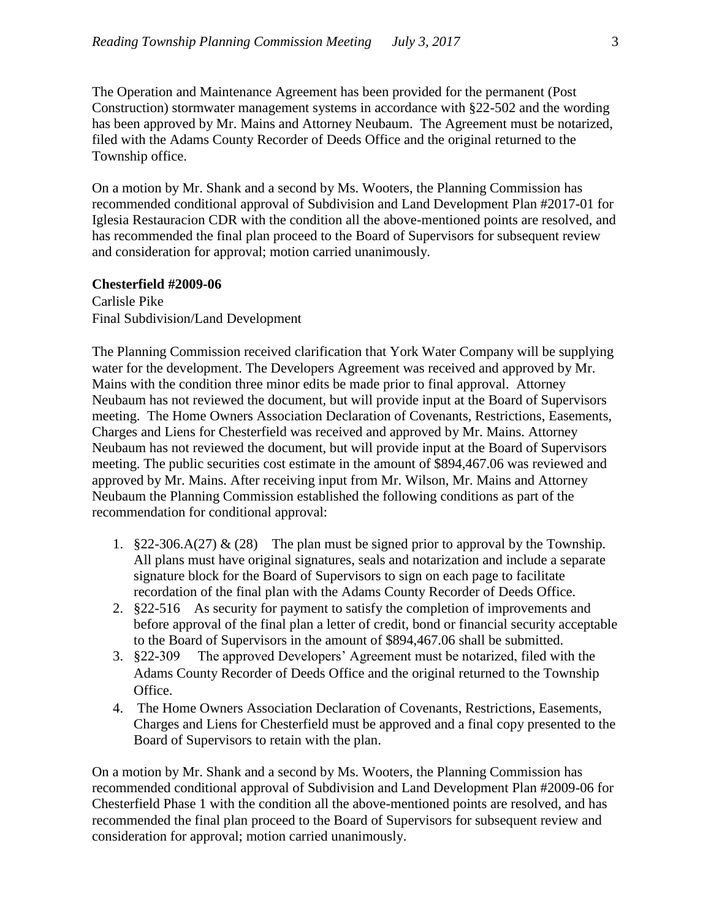The Operation and Maintenance Agreement has been provided for the permanent (Post Construction) stormwater management systems in accordance with §22-502 and the wording has been approved by Mr. Mains and Attorney Neubaum. The Agreement must be notarized, filed with the Adams County Recorder of Deeds Office and the original returned to the Township office.

On a motion by Mr. Shank and a second by Ms. Wooters, the Planning Commission has recommended conditional approval of Subdivision and Land Development Plan #2017-01 for Iglesia Restauracion CDR with the condition all the above-mentioned points are resolved, and has recommended the final plan proceed to the Board of Supervisors for subsequent review and consideration for approval; motion carried unanimously.

## **Chesterfield #2009-06**

Carlisle Pike Final Subdivision/Land Development

The Planning Commission received clarification that York Water Company will be supplying water for the development. The Developers Agreement was received and approved by Mr. Mains with the condition three minor edits be made prior to final approval. Attorney Neubaum has not reviewed the document, but will provide input at the Board of Supervisors meeting. The Home Owners Association Declaration of Covenants, Restrictions, Easements, Charges and Liens for Chesterfield was received and approved by Mr. Mains. Attorney Neubaum has not reviewed the document, but will provide input at the Board of Supervisors meeting. The public securities cost estimate in the amount of \$894,467.06 was reviewed and approved by Mr. Mains. After receiving input from Mr. Wilson, Mr. Mains and Attorney Neubaum the Planning Commission established the following conditions as part of the recommendation for conditional approval:

- 1.  $§22-306.\dot{A}(27) \& (28)$  The plan must be signed prior to approval by the Township. All plans must have original signatures, seals and notarization and include a separate signature block for the Board of Supervisors to sign on each page to facilitate recordation of the final plan with the Adams County Recorder of Deeds Office.
- 2. §22-516 As security for payment to satisfy the completion of improvements and before approval of the final plan a letter of credit, bond or financial security acceptable to the Board of Supervisors in the amount of \$894,467.06 shall be submitted.
- 3. §22-309 The approved Developers' Agreement must be notarized, filed with the Adams County Recorder of Deeds Office and the original returned to the Township Office.
- 4. The Home Owners Association Declaration of Covenants, Restrictions, Easements, Charges and Liens for Chesterfield must be approved and a final copy presented to the Board of Supervisors to retain with the plan.

On a motion by Mr. Shank and a second by Ms. Wooters, the Planning Commission has recommended conditional approval of Subdivision and Land Development Plan #2009-06 for Chesterfield Phase 1 with the condition all the above-mentioned points are resolved, and has recommended the final plan proceed to the Board of Supervisors for subsequent review and consideration for approval; motion carried unanimously.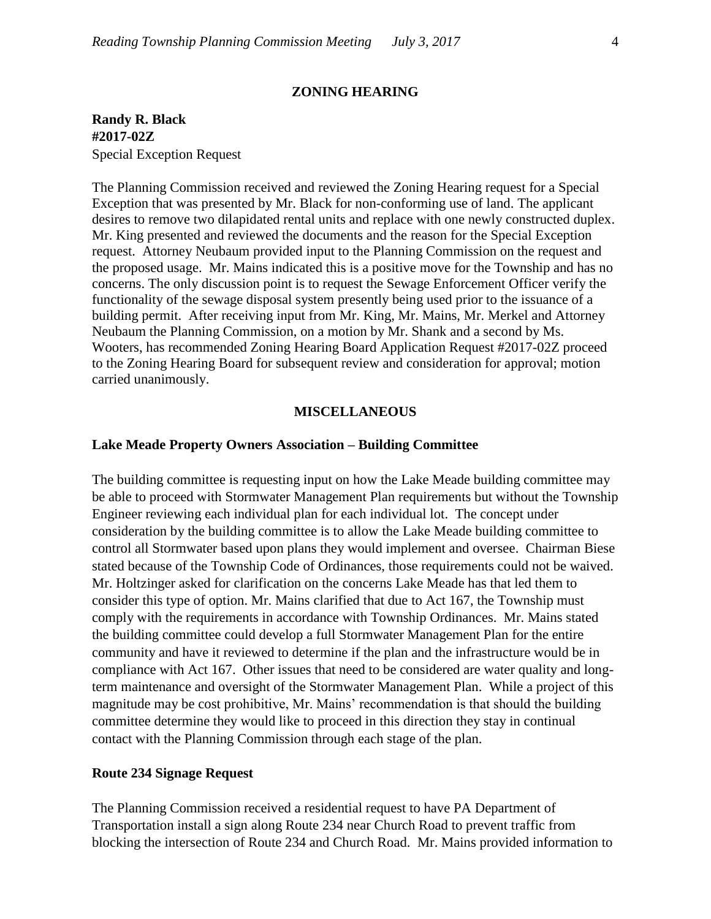## **ZONING HEARING**

**Randy R. Black #2017-02Z** Special Exception Request

The Planning Commission received and reviewed the Zoning Hearing request for a Special Exception that was presented by Mr. Black for non-conforming use of land. The applicant desires to remove two dilapidated rental units and replace with one newly constructed duplex. Mr. King presented and reviewed the documents and the reason for the Special Exception request. Attorney Neubaum provided input to the Planning Commission on the request and the proposed usage. Mr. Mains indicated this is a positive move for the Township and has no concerns. The only discussion point is to request the Sewage Enforcement Officer verify the functionality of the sewage disposal system presently being used prior to the issuance of a building permit. After receiving input from Mr. King, Mr. Mains, Mr. Merkel and Attorney Neubaum the Planning Commission, on a motion by Mr. Shank and a second by Ms. Wooters, has recommended Zoning Hearing Board Application Request #2017-02Z proceed to the Zoning Hearing Board for subsequent review and consideration for approval; motion carried unanimously.

## **MISCELLANEOUS**

#### **Lake Meade Property Owners Association – Building Committee**

The building committee is requesting input on how the Lake Meade building committee may be able to proceed with Stormwater Management Plan requirements but without the Township Engineer reviewing each individual plan for each individual lot. The concept under consideration by the building committee is to allow the Lake Meade building committee to control all Stormwater based upon plans they would implement and oversee. Chairman Biese stated because of the Township Code of Ordinances, those requirements could not be waived. Mr. Holtzinger asked for clarification on the concerns Lake Meade has that led them to consider this type of option. Mr. Mains clarified that due to Act 167, the Township must comply with the requirements in accordance with Township Ordinances. Mr. Mains stated the building committee could develop a full Stormwater Management Plan for the entire community and have it reviewed to determine if the plan and the infrastructure would be in compliance with Act 167. Other issues that need to be considered are water quality and longterm maintenance and oversight of the Stormwater Management Plan. While a project of this magnitude may be cost prohibitive, Mr. Mains' recommendation is that should the building committee determine they would like to proceed in this direction they stay in continual contact with the Planning Commission through each stage of the plan.

## **Route 234 Signage Request**

The Planning Commission received a residential request to have PA Department of Transportation install a sign along Route 234 near Church Road to prevent traffic from blocking the intersection of Route 234 and Church Road. Mr. Mains provided information to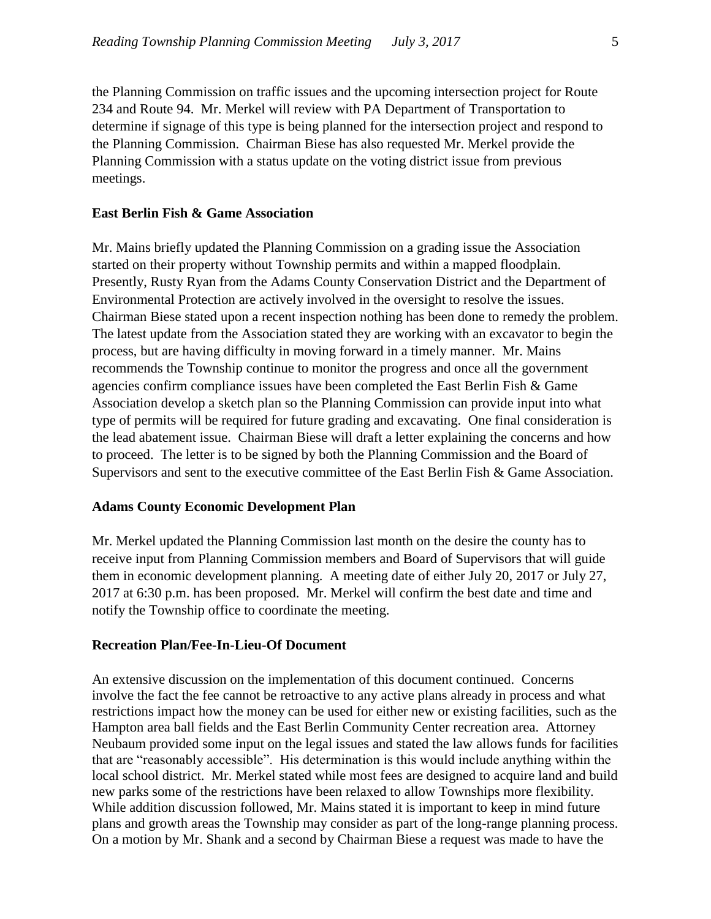the Planning Commission on traffic issues and the upcoming intersection project for Route 234 and Route 94. Mr. Merkel will review with PA Department of Transportation to determine if signage of this type is being planned for the intersection project and respond to the Planning Commission. Chairman Biese has also requested Mr. Merkel provide the Planning Commission with a status update on the voting district issue from previous meetings.

## **East Berlin Fish & Game Association**

Mr. Mains briefly updated the Planning Commission on a grading issue the Association started on their property without Township permits and within a mapped floodplain. Presently, Rusty Ryan from the Adams County Conservation District and the Department of Environmental Protection are actively involved in the oversight to resolve the issues. Chairman Biese stated upon a recent inspection nothing has been done to remedy the problem. The latest update from the Association stated they are working with an excavator to begin the process, but are having difficulty in moving forward in a timely manner. Mr. Mains recommends the Township continue to monitor the progress and once all the government agencies confirm compliance issues have been completed the East Berlin Fish & Game Association develop a sketch plan so the Planning Commission can provide input into what type of permits will be required for future grading and excavating. One final consideration is the lead abatement issue. Chairman Biese will draft a letter explaining the concerns and how to proceed. The letter is to be signed by both the Planning Commission and the Board of Supervisors and sent to the executive committee of the East Berlin Fish & Game Association.

## **Adams County Economic Development Plan**

Mr. Merkel updated the Planning Commission last month on the desire the county has to receive input from Planning Commission members and Board of Supervisors that will guide them in economic development planning. A meeting date of either July 20, 2017 or July 27, 2017 at 6:30 p.m. has been proposed. Mr. Merkel will confirm the best date and time and notify the Township office to coordinate the meeting.

## **Recreation Plan/Fee-In-Lieu-Of Document**

An extensive discussion on the implementation of this document continued. Concerns involve the fact the fee cannot be retroactive to any active plans already in process and what restrictions impact how the money can be used for either new or existing facilities, such as the Hampton area ball fields and the East Berlin Community Center recreation area. Attorney Neubaum provided some input on the legal issues and stated the law allows funds for facilities that are "reasonably accessible". His determination is this would include anything within the local school district. Mr. Merkel stated while most fees are designed to acquire land and build new parks some of the restrictions have been relaxed to allow Townships more flexibility. While addition discussion followed, Mr. Mains stated it is important to keep in mind future plans and growth areas the Township may consider as part of the long-range planning process. On a motion by Mr. Shank and a second by Chairman Biese a request was made to have the